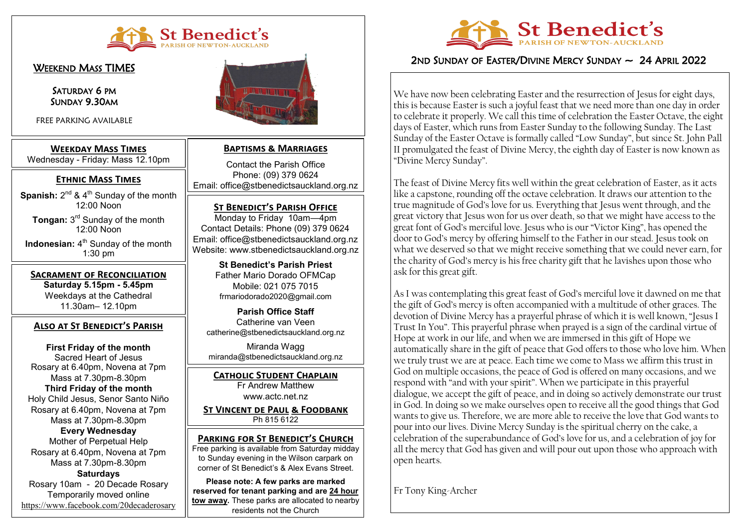

<u>Weekend Mass TIMES</u>

İ

Saturday 6 PM SUNDAY 9.30AM

FREE PARKING AVAILABLE

### **Weekday Mass Times**  Wednesday - Friday: Mass 12.10pm

## **Ethnic Mass Times**

**Spanish:** 2<sup>nd</sup> & 4<sup>th</sup> Sunday of the month 12:00 Noon

**Tongan:** 3 rd Sunday of the month 12:00 Noon

**Indonesian:** 4<sup>th</sup> Sunday of the month 1:30 pm

**Sacrament of Reconciliation Saturday 5.15pm - 5.45pm** Weekdays at the Cathedral 11.30am– 12.10pm

### **Also at St Benedict's Parish**

**First Friday of the month** Sacred Heart of Jesus Rosary at 6.40pm, Novena at 7pm Mass at 7.30pm-8.30pm **Third Friday of the month** Holy Child Jesus, Senor Santo Niño Rosary at 6.40pm, Novena at 7pm Mass at 7.30pm-8.30pm

### **Every Wednesday**

Mother of Perpetual Help Rosary at 6.40pm, Novena at 7pm Mass at 7.30pm-8.30pm

**Saturdays**

Rosary 10am - 20 Decade Rosary Temporarily moved online <https://www.facebook.com/20decaderosary>



### **Baptisms & Marriages**

Contact the Parish Office Phone: (09) 379 0624 Email: office@stbenedictsauckland.org.nz

**ST BENEDICT'S PARISH OFFICE** Monday to Friday 10am—4pm Contact Details: Phone (09) 379 0624 Email: office@stbenedictsauckland.org.nz Website: www.stbenedictsauckland.org.nz

> **St Benedict's Parish Priest** Father Mario Dorado OFMCap Mobile: 021 075 7015 frmariodorado2020@gmail.com

**Parish Office Staff** Catherine van Veen catherine@stbenedictsauckland.org.nz

Miranda Wagg miranda@stbenedictsauckland.org.nz

**Catholic Student Chaplain** Fr Andrew Matthew

www.actc.net.nz

**St Vincent de Paul & Foodbank** Ph 815 6122

### **Parking for St Benedict's Church**

Free parking is available from Saturday midday to Sunday evening in the Wilson carpark on corner of St Benedict's & Alex Evans Street.

**Please note: A few parks are marked reserved for tenant parking and are 24 hour tow away.** These parks are allocated to nearby residents not the Church



# 2ND SUNDAY OF EASTER/DIVINE MERCY SUNDAY  $\sim$  24 April 2022

We have now been celebrating Easter and the resurrection of Jesus for eight days, this is because Easter is such a joyful feast that we need more than one day in order to celebrate it properly. We call this time of celebration the Easter Octave, the eight days of Easter, which runs from Easter Sunday to the following Sunday. The Last Sunday of the Easter Octave is formally called "Low Sunday", but since St. John Pall II promulgated the feast of Divine Mercy, the eighth day of Easter is now known as "Divine Mercy Sunday".

The feast of Divine Mercy fits well within the great celebration of Easter, as it acts like a capstone, rounding off the octave celebration. It draws our attention to the true magnitude of God's love for us. Everything that Jesus went through, and the great victory that Jesus won for us over death, so that we might have access to the great font of God's merciful love. Jesus who is our "Victor King", has opened the door to God's mercy by offering himself to the Father in our stead. Jesus took on what we deserved so that we might receive something that we could never earn, for the charity of God's mercy is his free charity gift that he lavishes upon those who ask for this great gift.

As I was contemplating this great feast of God's merciful love it dawned on me that the gift of God's mercy is often accompanied with a multitude of other graces. The devotion of Divine Mercy has a prayerful phrase of which it is well known, "Jesus I Trust In You". This prayerful phrase when prayed is a sign of the cardinal virtue of Hope at work in our life, and when we are immersed in this gift of Hope we automatically share in the gift of peace that God offers to those who love him. When we truly trust we are at peace. Each time we come to Mass we affirm this trust in God on multiple occasions, the peace of God is offered on many occasions, and we respond with "and with your spirit". When we participate in this prayerful dialogue, we accept the gift of peace, and in doing so actively demonstrate our trust in God. In doing so we make ourselves open to receive all the good things that God wants to give us. Therefore, we are more able to receive the love that God wants to pour into our lives. Divine Mercy Sunday is the spiritual cherry on the cake, a celebration of the superabundance of God's love for us, and a celebration of joy for all the mercy that God has given and will pour out upon those who approach with open hearts.

Fr Tony King-Archer